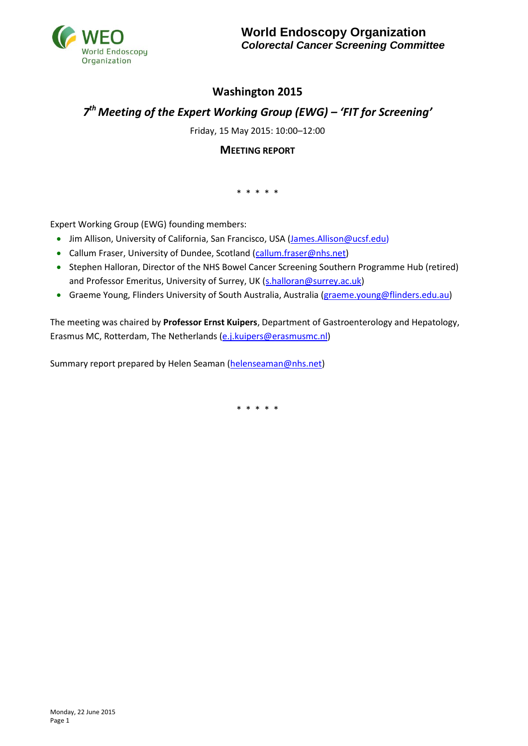

## **Washington 2015**

# *7 th Meeting of the Expert Working Group (EWG) – 'FIT for Screening'*

Friday, 15 May 2015: 10:00–12:00

## **MEETING REPORT**

\* \* \* \* \*

Expert Working Group (EWG) founding members:

- Jim Allison, University of California, San Francisco, USA (James. Allison@ucsf.edu)
- Callum Fraser, University of Dundee, Scotland [\(callum.fraser@nhs.net\)](mailto:callum.fraser@nhs.net)
- Stephen Halloran, Director of the NHS Bowel Cancer Screening Southern Programme Hub (retired) and Professor Emeritus, University of Surrey, UK [\(s.halloran@s](mailto:s.halloran@)urrey.ac.uk)
- Graeme Young, Flinders University of South Australia, Australia [\(graeme.young@flinders.edu.au\)](mailto:graeme.young@flinders.edu.au)

The meeting was chaired by **Professor Ernst Kuipers**, Department of Gastroenterology and Hepatology, Erasmus MC, Rotterdam, The Netherlands [\(e.j.kuipers@erasmusmc.nl\)](mailto:e.j.kuipers@erasmusmc.nl)

Summary report prepared by Helen Seaman [\(helenseaman@nhs.net\)](mailto:helenseaman@nhs.net)

\* \* \* \* \*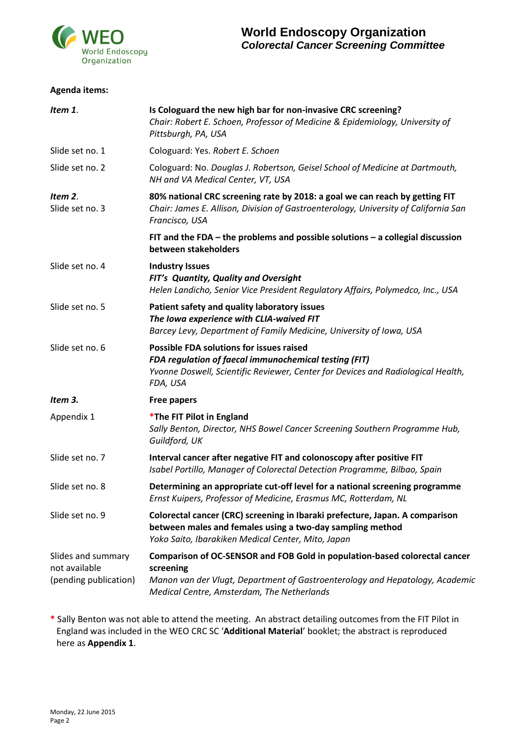

#### **Agenda items:**

| Item 1.                                                      | Is Cologuard the new high bar for non-invasive CRC screening?<br>Chair: Robert E. Schoen, Professor of Medicine & Epidemiology, University of<br>Pittsburgh, PA, USA                                                  |  |
|--------------------------------------------------------------|-----------------------------------------------------------------------------------------------------------------------------------------------------------------------------------------------------------------------|--|
| Slide set no. 1                                              | Cologuard: Yes. Robert E. Schoen                                                                                                                                                                                      |  |
| Slide set no. 2                                              | Cologuard: No. Douglas J. Robertson, Geisel School of Medicine at Dartmouth,<br>NH and VA Medical Center, VT, USA                                                                                                     |  |
| Item 2.<br>Slide set no. 3                                   | 80% national CRC screening rate by 2018: a goal we can reach by getting FIT<br>Chair: James E. Allison, Division of Gastroenterology, University of California San<br>Francisco, USA                                  |  |
|                                                              | FIT and the FDA $-$ the problems and possible solutions $-$ a collegial discussion<br>between stakeholders                                                                                                            |  |
| Slide set no. 4                                              | <b>Industry Issues</b><br>FIT's Quantity, Quality and Oversight<br>Helen Landicho, Senior Vice President Regulatory Affairs, Polymedco, Inc., USA                                                                     |  |
| Slide set no. 5                                              | Patient safety and quality laboratory issues<br>The Iowa experience with CLIA-waived FIT<br>Barcey Levy, Department of Family Medicine, University of Iowa, USA                                                       |  |
| Slide set no. 6                                              | <b>Possible FDA solutions for issues raised</b><br>FDA regulation of faecal immunochemical testing (FIT)<br>Yvonne Doswell, Scientific Reviewer, Center for Devices and Radiological Health,<br>FDA, USA              |  |
| Item 3.                                                      | <b>Free papers</b>                                                                                                                                                                                                    |  |
| Appendix 1                                                   | *The FIT Pilot in England<br>Sally Benton, Director, NHS Bowel Cancer Screening Southern Programme Hub,<br>Guildford, UK                                                                                              |  |
| Slide set no. 7                                              | Interval cancer after negative FIT and colonoscopy after positive FIT<br>Isabel Portillo, Manager of Colorectal Detection Programme, Bilbao, Spain                                                                    |  |
| Slide set no. 8                                              | Determining an appropriate cut-off level for a national screening programme<br>Ernst Kuipers, Professor of Medicine, Erasmus MC, Rotterdam, NL                                                                        |  |
| Slide set no. 9                                              | Colorectal cancer (CRC) screening in Ibaraki prefecture, Japan. A comparison<br>between males and females using a two-day sampling method<br>Yoko Saito, Ibarakiken Medical Center, Mito, Japan                       |  |
| Slides and summary<br>not available<br>(pending publication) | Comparison of OC-SENSOR and FOB Gold in population-based colorectal cancer<br>screening<br>Manon van der Vlugt, Department of Gastroenterology and Hepatology, Academic<br>Medical Centre, Amsterdam, The Netherlands |  |

**\*** Sally Benton was not able to attend the meeting. An abstract detailing outcomes from the FIT Pilot in England was included in the WEO CRC SC '**Additional Material**' booklet; the abstract is reproduced here as **Appendix 1**.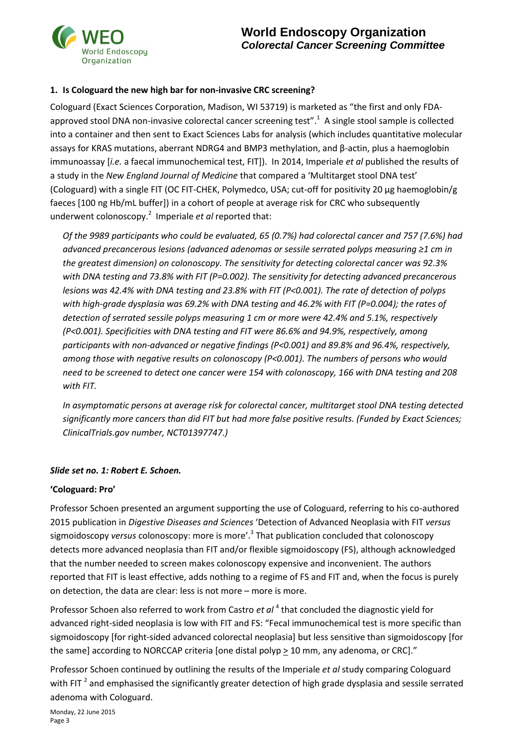

### **1. Is Cologuard the new high bar for non-invasive CRC screening?**

Cologuard (Exact Sciences Corporation, Madison, WI 53719) is marketed as "the first and only FDAapproved stool DNA non-invasive colorectal cancer screening test".<sup>1</sup> A single stool sample is collected into a container and then sent to Exact Sciences Labs for analysis (which includes quantitative molecular assays for KRAS mutations, aberrant NDRG4 and BMP3 methylation, and β-actin, plus a haemoglobin immunoassay [*i.e.* a faecal immunochemical test, FIT]). In 2014, Imperiale *et al* published the results of a study in the *New England Journal of Medicine* that compared a 'Multitarget stool DNA test' (Cologuard) with a single FIT (OC FIT-CHEK, Polymedco, USA; cut-off for positivity 20 µg haemoglobin/g faeces [100 ng Hb/mL buffer]) in a cohort of people at average risk for CRC who subsequently underwent colonoscopy.<sup>2</sup> Imperiale et al reported that:

*Of the 9989 participants who could be evaluated, 65 (0.7%) had colorectal cancer and 757 (7.6%) had advanced precancerous lesions (advanced adenomas or sessile serrated polyps measuring ≥1 cm in the greatest dimension) on colonoscopy. The sensitivity for detecting colorectal cancer was 92.3% with DNA testing and 73.8% with FIT (P=0.002). The sensitivity for detecting advanced precancerous lesions was 42.4% with DNA testing and 23.8% with FIT (P<0.001). The rate of detection of polyps with high-grade dysplasia was 69.2% with DNA testing and 46.2% with FIT (P=0.004); the rates of detection of serrated sessile polyps measuring 1 cm or more were 42.4% and 5.1%, respectively (P<0.001). Specificities with DNA testing and FIT were 86.6% and 94.9%, respectively, among participants with non-advanced or negative findings (P<0.001) and 89.8% and 96.4%, respectively, among those with negative results on colonoscopy (P<0.001). The numbers of persons who would need to be screened to detect one cancer were 154 with colonoscopy, 166 with DNA testing and 208 with FIT.*

*In asymptomatic persons at average risk for colorectal cancer, multitarget stool DNA testing detected significantly more cancers than did FIT but had more false positive results. (Funded by Exact Sciences; ClinicalTrials.gov number, NCT01397747.)*

### *Slide set no. 1: Robert E. Schoen.*

#### **'Cologuard: Pro'**

Professor Schoen presented an argument supporting the use of Cologuard, referring to his co-authored 2015 publication in *Digestive Diseases and Sciences* 'Detection of Advanced Neoplasia with FIT *versus* sigmoidoscopy *versus* colonoscopy: more is more'. 3 That publication concluded that colonoscopy detects more advanced neoplasia than FIT and/or flexible sigmoidoscopy (FS), although acknowledged that the number needed to screen makes colonoscopy expensive and inconvenient. The authors reported that FIT is least effective, adds nothing to a regime of FS and FIT and, when the focus is purely on detection, the data are clear: less is not more – more is more.

Professor Schoen also referred to work from Castro et al<sup>4</sup> that concluded the diagnostic yield for advanced right-sided neoplasia is low with FIT and FS: "Fecal immunochemical test is more specific than sigmoidoscopy [for right-sided advanced colorectal neoplasia] but less sensitive than sigmoidoscopy [for the same] according to NORCCAP criteria [one distal polyp  $\geq$  10 mm, any adenoma, or CRC]."

Professor Schoen continued by outlining the results of the Imperiale *et al* study comparing Cologuard with FIT<sup>2</sup> and emphasised the significantly greater detection of high grade dysplasia and sessile serrated adenoma with Cologuard.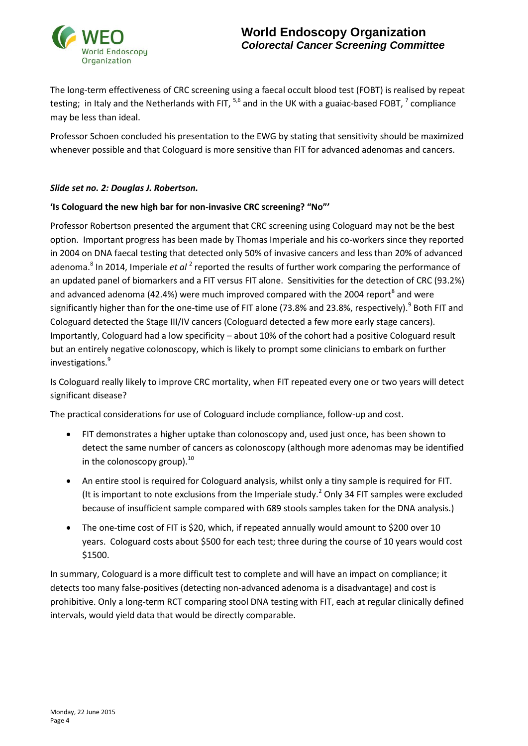

The long-term effectiveness of CRC screening using a faecal occult blood test (FOBT) is realised by repeat testing; in Italy and the Netherlands with FIT,  $^{5,6}$  and in the UK with a guaiac-based FOBT,  $^7$  compliance may be less than ideal.

Professor Schoen concluded his presentation to the EWG by stating that sensitivity should be maximized whenever possible and that Cologuard is more sensitive than FIT for advanced adenomas and cancers.

### *Slide set no. 2: Douglas J. Robertson.*

### **'Is Cologuard the new high bar for non-invasive CRC screening? "No"'**

Professor Robertson presented the argument that CRC screening using Cologuard may not be the best option. Important progress has been made by Thomas Imperiale and his co-workers since they reported in 2004 on DNA faecal testing that detected only 50% of invasive cancers and less than 20% of advanced adenoma.<sup>8</sup> In 2014, Imperiale *et al* <sup>2</sup> reported the results of further work comparing the performance of an updated panel of biomarkers and a FIT versus FIT alone. Sensitivities for the detection of CRC (93.2%) and advanced adenoma (42.4%) were much improved compared with the 2004 report<sup>8</sup> and were significantly higher than for the one-time use of FIT alone (73.8% and 23.8%, respectively).<sup>9</sup> Both FIT and Cologuard detected the Stage III/IV cancers (Cologuard detected a few more early stage cancers). Importantly, Cologuard had a low specificity – about 10% of the cohort had a positive Cologuard result but an entirely negative colonoscopy, which is likely to prompt some clinicians to embark on further investigations.<sup>9</sup>

Is Cologuard really likely to improve CRC mortality, when FIT repeated every one or two years will detect significant disease?

The practical considerations for use of Cologuard include compliance, follow-up and cost.

- FIT demonstrates a higher uptake than colonoscopy and, used just once, has been shown to detect the same number of cancers as colonoscopy (although more adenomas may be identified in the colonoscopy group). $^{10}$
- An entire stool is required for Cologuard analysis, whilst only a tiny sample is required for FIT. (It is important to note exclusions from the Imperiale study.<sup>2</sup> Only 34 FIT samples were excluded because of insufficient sample compared with 689 stools samples taken for the DNA analysis.)
- The one-time cost of FIT is \$20, which, if repeated annually would amount to \$200 over 10 years. Cologuard costs about \$500 for each test; three during the course of 10 years would cost \$1500.

In summary, Cologuard is a more difficult test to complete and will have an impact on compliance; it detects too many false-positives (detecting non-advanced adenoma is a disadvantage) and cost is prohibitive. Only a long-term RCT comparing stool DNA testing with FIT, each at regular clinically defined intervals, would yield data that would be directly comparable.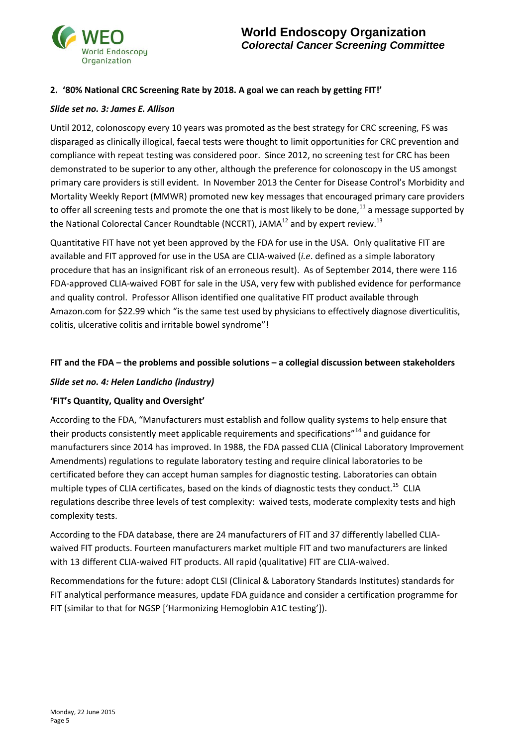

### **2. '80% National CRC Screening Rate by 2018. A goal we can reach by getting FIT!'**

#### *Slide set no. 3: James E. Allison*

Until 2012, colonoscopy every 10 years was promoted as the best strategy for CRC screening, FS was disparaged as clinically illogical, faecal tests were thought to limit opportunities for CRC prevention and compliance with repeat testing was considered poor. Since 2012, no screening test for CRC has been demonstrated to be superior to any other, although the preference for colonoscopy in the US amongst primary care providers is still evident. In November 2013 the Center for Disease Control's Morbidity and Mortality Weekly Report (MMWR) promoted new key messages that encouraged primary care providers to offer all screening tests and promote the one that is most likely to be done,<sup>11</sup> a message supported by the National Colorectal Cancer Roundtable (NCCRT), JAMA $^{12}$  and by expert review.<sup>13</sup>

Quantitative FIT have not yet been approved by the FDA for use in the USA. Only qualitative FIT are available and FIT approved for use in the USA are CLIA-waived (*i.e*. defined as a simple laboratory procedure that has an insignificant risk of an erroneous result). As of September 2014, there were 116 FDA-approved CLIA-waived FOBT for sale in the USA, very few with published evidence for performance and quality control. Professor Allison identified one qualitative FIT product available through Amazon.com for \$22.99 which "is the same test used by physicians to effectively diagnose diverticulitis, colitis, ulcerative colitis and irritable bowel syndrome"!

## **FIT and the FDA – the problems and possible solutions – a collegial discussion between stakeholders**

#### *Slide set no. 4: Helen Landicho (industry)*

### **'FIT's Quantity, Quality and Oversight'**

According to the FDA, "Manufacturers must establish and follow quality systems to help ensure that their products consistently meet applicable requirements and specifications"<sup>14</sup> and guidance for manufacturers since 2014 has improved. In 1988, the FDA passed CLIA (Clinical Laboratory Improvement Amendments) regulations to regulate laboratory testing and require clinical laboratories to be certificated before they can accept human samples for diagnostic testing. Laboratories can obtain multiple types of CLIA certificates, based on the kinds of diagnostic tests they conduct.<sup>15</sup> CLIA regulations describe three levels of test complexity: waived tests, moderate complexity tests and high complexity tests.

According to the FDA database, there are 24 manufacturers of FIT and 37 differently labelled CLIAwaived FIT products. Fourteen manufacturers market multiple FIT and two manufacturers are linked with 13 different CLIA-waived FIT products. All rapid (qualitative) FIT are CLIA-waived.

Recommendations for the future: adopt CLSI (Clinical & Laboratory Standards Institutes) standards for FIT analytical performance measures, update FDA guidance and consider a certification programme for FIT (similar to that for NGSP ['Harmonizing Hemoglobin A1C testing']).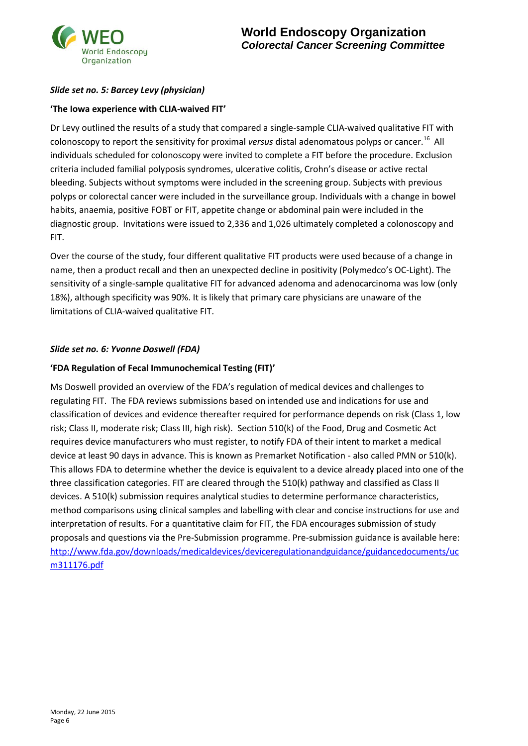

## *Slide set no. 5: Barcey Levy (physician)*

### **'The Iowa experience with CLIA-waived FIT'**

Dr Levy outlined the results of a study that compared a single-sample CLIA-waived qualitative FIT with colonoscopy to report the sensitivity for proximal *versus* distal adenomatous polyps or cancer.<sup>16</sup> All individuals scheduled for colonoscopy were invited to complete a FIT before the procedure. Exclusion criteria included familial polyposis syndromes, ulcerative colitis, Crohn's disease or active rectal bleeding. Subjects without symptoms were included in the screening group. Subjects with previous polyps or colorectal cancer were included in the surveillance group. Individuals with a change in bowel habits, anaemia, positive FOBT or FIT, appetite change or abdominal pain were included in the diagnostic group. Invitations were issued to 2,336 and 1,026 ultimately completed a colonoscopy and FIT.

Over the course of the study, four different qualitative FIT products were used because of a change in name, then a product recall and then an unexpected decline in positivity (Polymedco's OC-Light). The sensitivity of a single-sample qualitative FIT for advanced adenoma and adenocarcinoma was low (only 18%), although specificity was 90%. It is likely that primary care physicians are unaware of the limitations of CLIA-waived qualitative FIT.

### *Slide set no. 6: Yvonne Doswell (FDA)*

#### **'FDA Regulation of Fecal Immunochemical Testing (FIT)'**

Ms Doswell provided an overview of the FDA's regulation of medical devices and challenges to regulating FIT. The FDA reviews submissions based on intended use and indications for use and classification of devices and evidence thereafter required for performance depends on risk (Class 1, low risk; Class II, moderate risk; Class III, high risk). Section 510(k) of the Food, Drug and Cosmetic Act requires device manufacturers who must register, to notify FDA of their intent to market a medical device at least 90 days in advance. This is known as Premarket Notification - also called PMN or 510(k). This allows FDA to determine whether the device is equivalent to a device already placed into one of the three classification categories. FIT are cleared through the 510(k) pathway and classified as Class II devices. A 510(k) submission requires analytical studies to determine performance characteristics, method comparisons using clinical samples and labelling with clear and concise instructions for use and interpretation of results. For a quantitative claim for FIT, the FDA encourages submission of study proposals and questions via the Pre-Submission programme. Pre-submission guidance is available here: [http://www.fda.gov/downloads/medicaldevices/deviceregulationandguidance/guidancedocuments/uc](http://www.fda.gov/downloads/medicaldevices/deviceregulationandguidance/guidancedocuments/ucm311176.pdf) [m311176.pdf](http://www.fda.gov/downloads/medicaldevices/deviceregulationandguidance/guidancedocuments/ucm311176.pdf)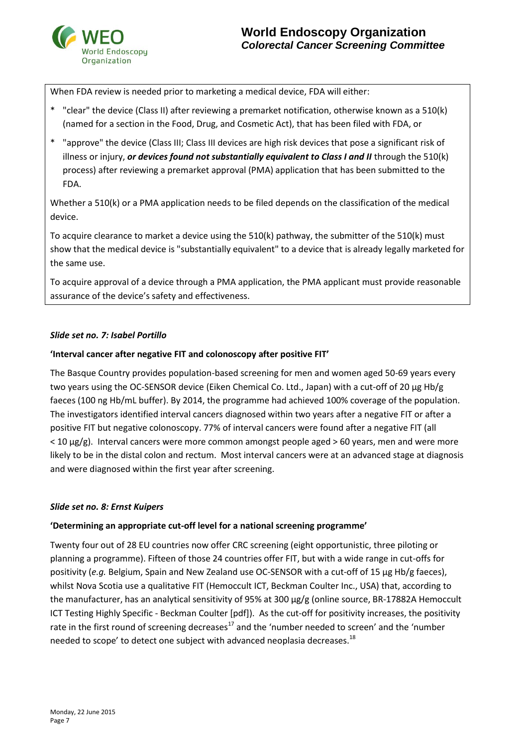

When FDA review is needed prior to marketing a medical device, FDA will either:

- \* "clear" the device (Class II) after reviewing a premarket notification, otherwise known as a 510(k) (named for a section in the Food, Drug, and Cosmetic Act), that has been filed with FDA, or
- \* "approve" the device (Class III; Class III devices are high risk devices that pose a significant risk of illness or injury, *or devices found not substantially equivalent to Class I and II* through the 510(k) process) after reviewing a premarket approval (PMA) application that has been submitted to the FDA.

Whether a 510(k) or a PMA application needs to be filed depends on the classification of the medical device.

To acquire clearance to market a device using the 510(k) pathway, the submitter of the 510(k) must show that the medical device is "substantially equivalent" to a device that is already legally marketed for the same use.

To acquire approval of a device through a PMA application, the PMA applicant must provide reasonable assurance of the device's safety and effectiveness.

### *Slide set no. 7: Isabel Portillo*

#### **'Interval cancer after negative FIT and colonoscopy after positive FIT'**

The Basque Country provides population-based screening for men and women aged 50-69 years every two years using the OC-SENSOR device (Eiken Chemical Co. Ltd., Japan) with a cut-off of 20 µg Hb/g faeces (100 ng Hb/mL buffer). By 2014, the programme had achieved 100% coverage of the population. The investigators identified interval cancers diagnosed within two years after a negative FIT or after a positive FIT but negative colonoscopy. 77% of interval cancers were found after a negative FIT (all  $<$  10  $\mu$ g/g). Interval cancers were more common amongst people aged > 60 years, men and were more likely to be in the distal colon and rectum. Most interval cancers were at an advanced stage at diagnosis and were diagnosed within the first year after screening.

#### *Slide set no. 8: Ernst Kuipers*

### **'Determining an appropriate cut-off level for a national screening programme'**

Twenty four out of 28 EU countries now offer CRC screening (eight opportunistic, three piloting or planning a programme). Fifteen of those 24 countries offer FIT, but with a wide range in cut-offs for positivity (e.g. Belgium, Spain and New Zealand use OC-SENSOR with a cut-off of 15 µg Hb/g faeces), whilst Nova Scotia use a qualitative FIT (Hemoccult ICT, Beckman Coulter Inc., USA) that, according to the manufacturer, has an analytical sensitivity of 95% at 300 µg/g (online source, BR-17882A Hemoccult ICT Testing Highly Specific - Beckman Coulter [pdf]). As the cut-off for positivity increases, the positivity rate in the first round of screening decreases<sup>17</sup> and the 'number needed to screen' and the 'number needed to scope' to detect one subject with advanced neoplasia decreases.<sup>18</sup>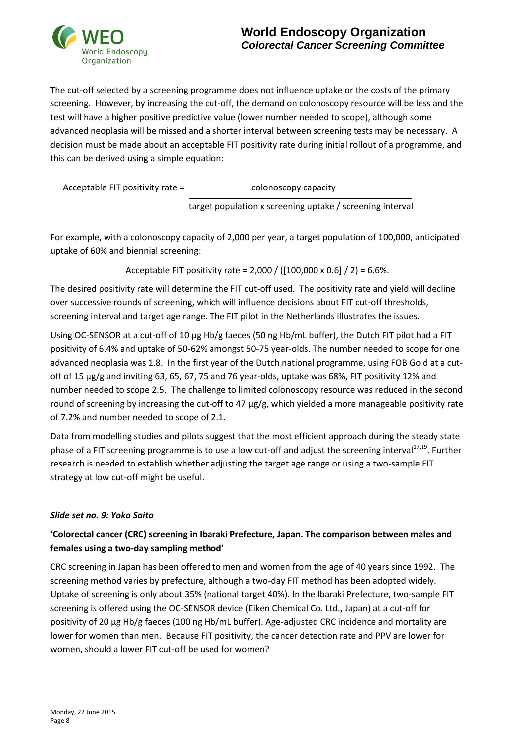

The cut-off selected by a screening programme does not influence uptake or the costs of the primary screening. However, by increasing the cut-off, the demand on colonoscopy resource will be less and the test will have a higher positive predictive value (lower number needed to scope), although some advanced neoplasia will be missed and a shorter interval between screening tests may be necessary. A decision must be made about an acceptable FIT positivity rate during initial rollout of a programme, and this can be derived using a simple equation:

|  | Acceptable FIT positivity rate = |
|--|----------------------------------|
|--|----------------------------------|

colonoscopy capacity

target population x screening uptake / screening interval

For example, with a colonoscopy capacity of 2,000 per year, a target population of 100,000, anticipated uptake of 60% and biennial screening:

Acceptable FIT positivity rate = 2,000 / ([100,000 x 0.6] / 2) = 6.6%.

The desired positivity rate will determine the FIT cut-off used. The positivity rate and yield will decline over successive rounds of screening, which will influence decisions about FIT cut-off thresholds, screening interval and target age range. The FIT pilot in the Netherlands illustrates the issues.

Using OC-SENSOR at a cut-off of 10 µg Hb/g faeces (50 ng Hb/mL buffer), the Dutch FIT pilot had a FIT positivity of 6.4% and uptake of 50-62% amongst 50-75 year-olds. The number needed to scope for one advanced neoplasia was 1.8. In the first year of the Dutch national programme, using FOB Gold at a cutoff of 15 µg/g and inviting 63, 65, 67, 75 and 76 year-olds, uptake was 68%, FIT positivity 12% and number needed to scope 2.5. The challenge to limited colonoscopy resource was reduced in the second round of screening by increasing the cut-off to 47  $\mu$ g/g, which yielded a more manageable positivity rate of 7.2% and number needed to scope of 2.1.

Data from modelling studies and pilots suggest that the most efficient approach during the steady state phase of a FIT screening programme is to use a low cut-off and adjust the screening interval<sup>17,19</sup>. Further research is needed to establish whether adjusting the target age range or using a two-sample FIT strategy at low cut-off might be useful.

## *Slide set no. 9: Yoko Saito*

## **'Colorectal cancer (CRC) screening in Ibaraki Prefecture, Japan. The comparison between males and females using a two-day sampling method'**

CRC screening in Japan has been offered to men and women from the age of 40 years since 1992. The screening method varies by prefecture, although a two-day FIT method has been adopted widely. Uptake of screening is only about 35% (national target 40%). In the Ibaraki Prefecture, two-sample FIT screening is offered using the OC-SENSOR device (Eiken Chemical Co. Ltd., Japan) at a cut-off for positivity of 20 µg Hb/g faeces (100 ng Hb/mL buffer). Age-adjusted CRC incidence and mortality are lower for women than men. Because FIT positivity, the cancer detection rate and PPV are lower for women, should a lower FIT cut-off be used for women?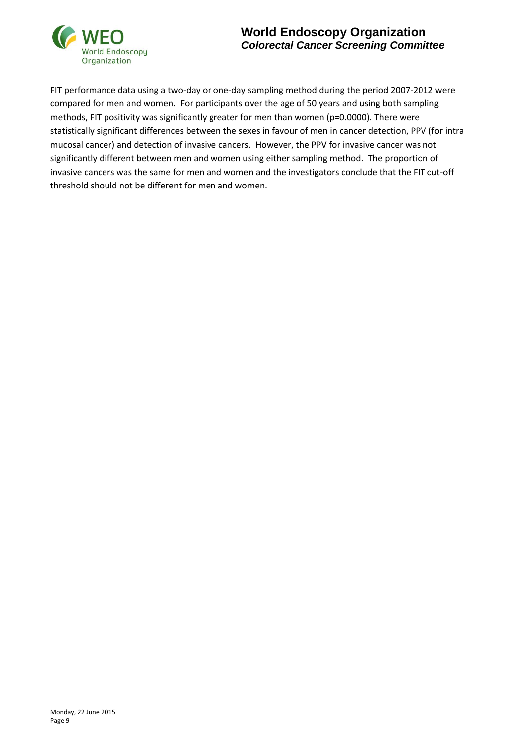

## **World Endoscopy Organization** *Colorectal Cancer Screening Committee*

FIT performance data using a two-day or one-day sampling method during the period 2007-2012 were compared for men and women. For participants over the age of 50 years and using both sampling methods, FIT positivity was significantly greater for men than women (p=0.0000). There were statistically significant differences between the sexes in favour of men in cancer detection, PPV (for intra mucosal cancer) and detection of invasive cancers. However, the PPV for invasive cancer was not significantly different between men and women using either sampling method. The proportion of invasive cancers was the same for men and women and the investigators conclude that the FIT cut-off threshold should not be different for men and women.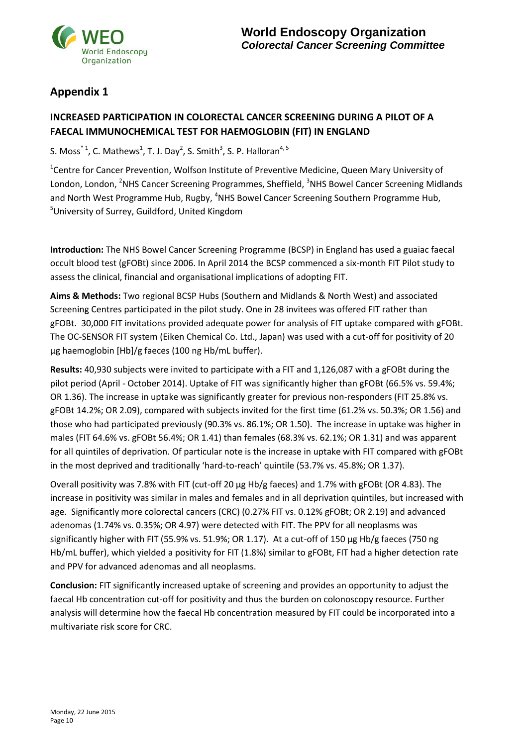

# **Appendix 1**

## **INCREASED PARTICIPATION IN COLORECTAL CANCER SCREENING DURING A PILOT OF A FAECAL IMMUNOCHEMICAL TEST FOR HAEMOGLOBIN (FIT) IN ENGLAND**

S. Moss<sup>\*1</sup>, C. Mathews<sup>1</sup>, T. J. Day<sup>2</sup>, S. Smith<sup>3</sup>, S. P. Halloran<sup>4, 5</sup>

<sup>1</sup>Centre for Cancer Prevention, Wolfson Institute of Preventive Medicine, Queen Mary University of London, London, <sup>2</sup>NHS Cancer Screening Programmes, Sheffield, <sup>3</sup>NHS Bowel Cancer Screening Midlands and North West Programme Hub, Rugby, <sup>4</sup>NHS Bowel Cancer Screening Southern Programme Hub, <sup>5</sup>University of Surrey, Guildford, United Kingdom

**Introduction:** The NHS Bowel Cancer Screening Programme (BCSP) in England has used a guaiac faecal occult blood test (gFOBt) since 2006. In April 2014 the BCSP commenced a six-month FIT Pilot study to assess the clinical, financial and organisational implications of adopting FIT.

**Aims & Methods:** Two regional BCSP Hubs (Southern and Midlands & North West) and associated Screening Centres participated in the pilot study. One in 28 invitees was offered FIT rather than gFOBt. 30,000 FIT invitations provided adequate power for analysis of FIT uptake compared with gFOBt. The OC-SENSOR FIT system (Eiken Chemical Co. Ltd., Japan) was used with a cut-off for positivity of 20 µg haemoglobin [Hb]/g faeces (100 ng Hb/mL buffer).

**Results:** 40,930 subjects were invited to participate with a FIT and 1,126,087 with a gFOBt during the pilot period (April - October 2014). Uptake of FIT was significantly higher than gFOBt (66.5% vs. 59.4%; OR 1.36). The increase in uptake was significantly greater for previous non-responders (FIT 25.8% vs. gFOBt 14.2%; OR 2.09), compared with subjects invited for the first time (61.2% vs. 50.3%; OR 1.56) and those who had participated previously (90.3% vs. 86.1%; OR 1.50). The increase in uptake was higher in males (FIT 64.6% vs. gFOBt 56.4%; OR 1.41) than females (68.3% vs. 62.1%; OR 1.31) and was apparent for all quintiles of deprivation. Of particular note is the increase in uptake with FIT compared with gFOBt in the most deprived and traditionally 'hard-to-reach' quintile (53.7% vs. 45.8%; OR 1.37).

Overall positivity was 7.8% with FIT (cut-off 20 µg Hb/g faeces) and 1.7% with gFOBt (OR 4.83). The increase in positivity was similar in males and females and in all deprivation quintiles, but increased with age. Significantly more colorectal cancers (CRC) (0.27% FIT vs. 0.12% gFOBt; OR 2.19) and advanced adenomas (1.74% vs. 0.35%; OR 4.97) were detected with FIT. The PPV for all neoplasms was significantly higher with FIT (55.9% vs. 51.9%; OR 1.17). At a cut-off of 150 µg Hb/g faeces (750 ng Hb/mL buffer), which yielded a positivity for FIT (1.8%) similar to gFOBt, FIT had a higher detection rate and PPV for advanced adenomas and all neoplasms.

**Conclusion:** FIT significantly increased uptake of screening and provides an opportunity to adjust the faecal Hb concentration cut-off for positivity and thus the burden on colonoscopy resource. Further analysis will determine how the faecal Hb concentration measured by FIT could be incorporated into a multivariate risk score for CRC.